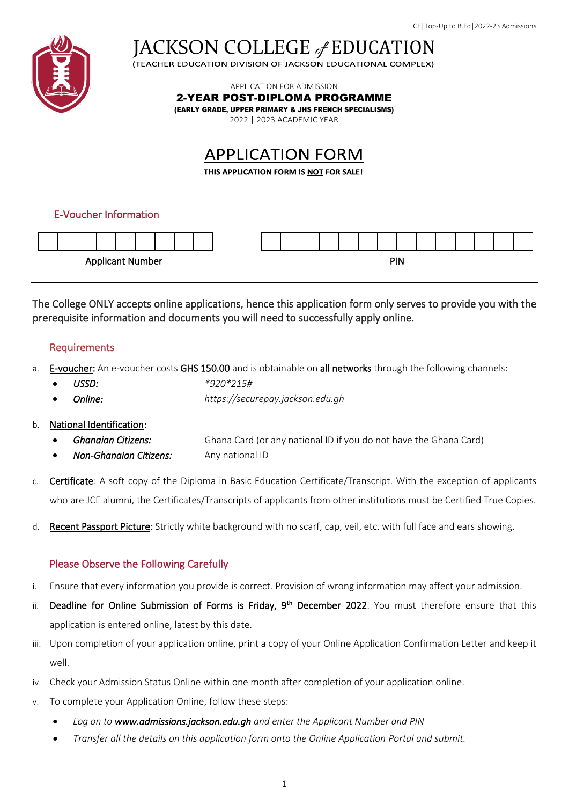

JACKSON COLLEGE of EDUCATION

APPLICATION FOR ADMISSION

2-YEAR POST-DIPLOMA PROGRAMME

(EARLY GRADE, UPPER PRIMARY & JHS FRENCH SPECIALISMS)

2022 | 2023 ACADEMIC YEAR

# **APPLICATION FORM**

THIS APPLICATION FORM IS NOT FOR SALE!

# E-Voucher Information



The College ONLY accepts online applications, hence this application form only serves to provide you with the prerequisite information and documents you will need to successfully apply online.

### Requirements

- a. E-voucher: An e-voucher costs GHS 150.00 and is obtainable on all networks through the following channels:
	- *USSD: \*920\*215#*
	- *Online: https://securepay.jackson.edu.gh*

#### b. National Identification:

- *Ghanaian Citizens:* Ghana Card (or any national ID if you do not have the Ghana Card)
- *Non-Ghanaian Citizens:* Any national ID
- c. Certificate: A soft copy of the Diploma in Basic Education Certificate/Transcript. With the exception of applicants who are JCE alumni, the Certificates/Transcripts of applicants from other institutions must be Certified True Copies.
- d. Recent Passport Picture: Strictly white background with no scarf, cap, veil, etc. with full face and ears showing.

# Please Observe the Following Carefully

- i. Ensure that every information you provide is correct. Provision of wrong information may affect your admission.
- ii. Deadline for Online Submission of Forms is Friday, 9<sup>th</sup> December 2022. You must therefore ensure that this application is entered online, latest by this date.
- iii. Upon completion of your application online, print a copy of your Online Application Confirmation Letter and keep it well.
- iv. Check your Admission Status Online within one month after completion of your application online.
- v. To complete your Application Online, follow these steps:
	- *Log on to www.admissions.jackson.edu.gh and enter the Applicant Number and PIN*
	- *Transfer all the details on this application form onto the Online Application Portal and submit.*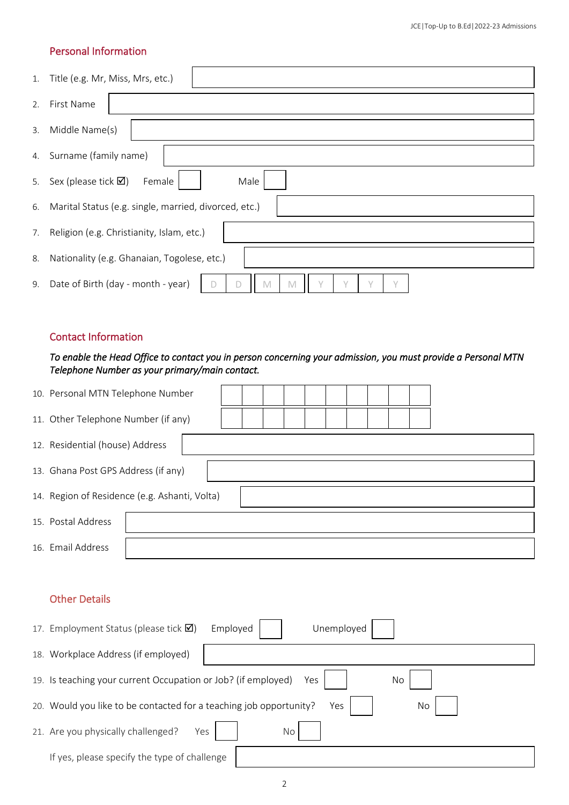### Personal Information

| 1. | Title (e.g. Mr, Miss, Mrs, etc.)                                             |
|----|------------------------------------------------------------------------------|
| 2. | First Name                                                                   |
| 3. | Middle Name(s)                                                               |
| 4. | Surname (family name)                                                        |
| 5. | Male<br>Sex (please tick $\boxtimes$ )<br>Female                             |
| 6. | Marital Status (e.g. single, married, divorced, etc.)                        |
| 7. | Religion (e.g. Christianity, Islam, etc.)                                    |
| 8. | Nationality (e.g. Ghanaian, Togolese, etc.)                                  |
| 9. | Date of Birth (day - month - year)<br>$\checkmark$<br>M<br>$\checkmark$<br>M |

#### Contact Information

# *To enable the Head Office to contact you in person concerning your admission, you must provide a Personal MTN Telephone Number as your primary/main contact.*

| 10. Personal MTN Telephone Number             |  |  |  |  |  |  |  |  |  |  |  |  |
|-----------------------------------------------|--|--|--|--|--|--|--|--|--|--|--|--|
| 11. Other Telephone Number (if any)           |  |  |  |  |  |  |  |  |  |  |  |  |
| 12. Residential (house) Address               |  |  |  |  |  |  |  |  |  |  |  |  |
| 13. Ghana Post GPS Address (if any)           |  |  |  |  |  |  |  |  |  |  |  |  |
| 14. Region of Residence (e.g. Ashanti, Volta) |  |  |  |  |  |  |  |  |  |  |  |  |
| 15. Postal Address                            |  |  |  |  |  |  |  |  |  |  |  |  |
| 16. Email Address                             |  |  |  |  |  |  |  |  |  |  |  |  |

# Other Details

| 17. Employment Status (please tick $\boxtimes$ )                            | Employed<br>Unemployed |    |  |  |  |  |  |  |  |
|-----------------------------------------------------------------------------|------------------------|----|--|--|--|--|--|--|--|
| 18. Workplace Address (if employed)                                         |                        |    |  |  |  |  |  |  |  |
| 19. Is teaching your current Occupation or Job? (if employed)<br>Yes<br>No. |                        |    |  |  |  |  |  |  |  |
| 20. Would you like to be contacted for a teaching job opportunity?          | Yes                    | No |  |  |  |  |  |  |  |
| 21. Are you physically challenged?<br>Yes                                   | No                     |    |  |  |  |  |  |  |  |
| If yes, please specify the type of challenge                                |                        |    |  |  |  |  |  |  |  |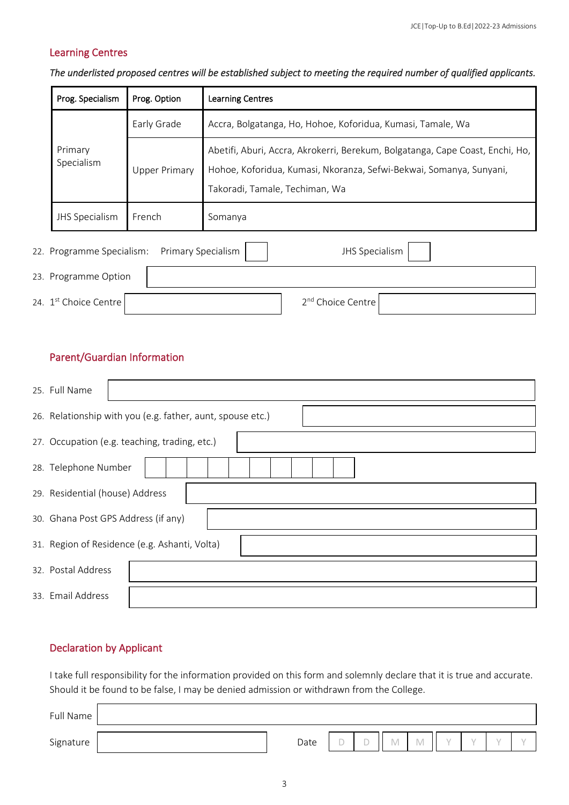### Learning Centres

#### *The underlisted proposed centres will be established subject to meeting the required number of qualified applicants.*

| Prog. Specialism          | Prog. Option         | <b>Learning Centres</b>                                                                                                                                                                |
|---------------------------|----------------------|----------------------------------------------------------------------------------------------------------------------------------------------------------------------------------------|
|                           | Early Grade          | Accra, Bolgatanga, Ho, Hohoe, Koforidua, Kumasi, Tamale, Wa                                                                                                                            |
| Primary<br>Specialism     | <b>Upper Primary</b> | Abetifi, Aburi, Accra, Akrokerri, Berekum, Bolgatanga, Cape Coast, Enchi, Ho,<br>Hohoe, Koforidua, Kumasi, Nkoranza, Sefwi-Bekwai, Somanya, Sunyani,<br>Takoradi, Tamale, Techiman, Wa |
| <b>JHS Specialism</b>     | French               | Somanya                                                                                                                                                                                |
| 22. Programme Specialism: | Primary Specialism   | <b>JHS Specialism</b>                                                                                                                                                                  |
| 23. Programme Option      |                      |                                                                                                                                                                                        |

2<sup>nd</sup> Choice Centre

24. 1<sup>st</sup> Choice Centre 2

# Parent/Guardian Information

| 25. Full Name                                              |  |  |  |  |  |  |  |  |  |  |
|------------------------------------------------------------|--|--|--|--|--|--|--|--|--|--|
| 26. Relationship with you (e.g. father, aunt, spouse etc.) |  |  |  |  |  |  |  |  |  |  |
| 27. Occupation (e.g. teaching, trading, etc.)              |  |  |  |  |  |  |  |  |  |  |
| 28. Telephone Number                                       |  |  |  |  |  |  |  |  |  |  |
| 29. Residential (house) Address                            |  |  |  |  |  |  |  |  |  |  |
| 30. Ghana Post GPS Address (if any)                        |  |  |  |  |  |  |  |  |  |  |
| 31. Region of Residence (e.g. Ashanti, Volta)              |  |  |  |  |  |  |  |  |  |  |
| 32. Postal Address                                         |  |  |  |  |  |  |  |  |  |  |
| 33. Email Address                                          |  |  |  |  |  |  |  |  |  |  |

# Declaration by Applicant

I take full responsibility for the information provided on this form and solemnly declare that it is true and accurate. Should it be found to be false, I may be denied admission or withdrawn from the College.

| Full Name |      |                          |     |            |  |  |
|-----------|------|--------------------------|-----|------------|--|--|
| Signature | Date | <b>COLLEGE</b><br>$\sim$ | IVI | <b>IVI</b> |  |  |